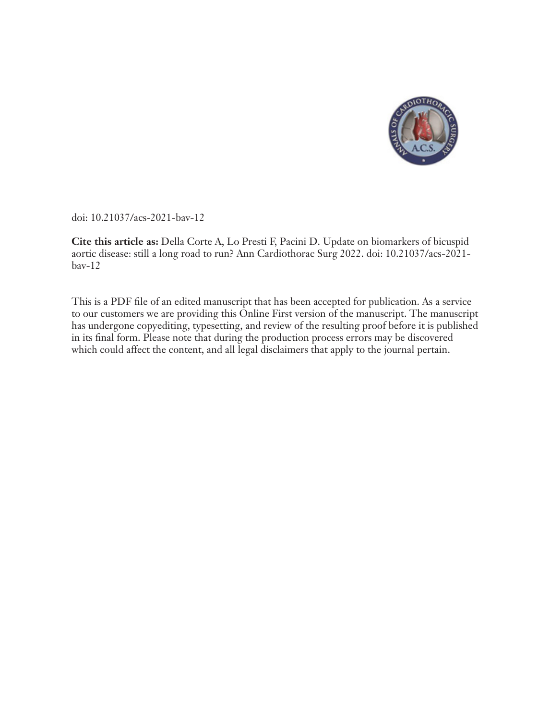

doi: 10.21037/acs-2021-bav-12

**Cite this article as:** Della Corte A, Lo Presti F, Pacini D. Update on biomarkers of bicuspid aortic disease: still a long road to run? Ann Cardiothorac Surg 2022. doi: 10.21037/acs-2021 bav-12

This is a PDF file of an edited manuscript that has been accepted for publication. As a service to our customers we are providing this Online First version of the manuscript. The manuscript has undergone copyediting, typesetting, and review of the resulting proof before it is published in its final form. Please note that during the production process errors may be discovered which could affect the content, and all legal disclaimers that apply to the journal pertain.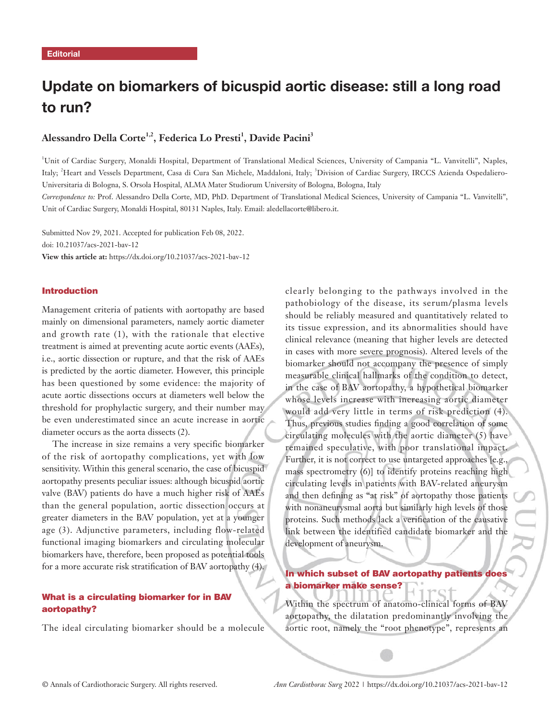# Update on biomarkers of bicuspid aortic disease: still a long road to run?

# **Alessandro Della Corte1,2, Federica Lo Presti1 , Davide Pacini3**

<sup>1</sup>Unit of Cardiac Surgery, Monaldi Hospital, Department of Translational Medical Sciences, University of Campania "L. Vanvitelli", Naples, Italy; <sup>2</sup>Heart and Vessels Department, Casa di Cura San Michele, Maddaloni, Italy; <sup>3</sup>Division of Cardiac Surgery, IRCCS Azienda Ospedaliero-Universitaria di Bologna, S. Orsola Hospital, ALMA Mater Studiorum University of Bologna, Bologna, Italy

*Correspondence to:* Prof. Alessandro Della Corte, MD, PhD. Department of Translational Medical Sciences, University of Campania "L. Vanvitelli", Unit of Cardiac Surgery, Monaldi Hospital, 80131 Naples, Italy. Email: aledellacorte@libero.it.

Submitted Nov 29, 2021. Accepted for publication Feb 08, 2022. doi: 10.21037/acs-2021-bav-12 **View this article at:** https://dx.doi.org/10.21037/acs-2021-bav-12

#### Introduction

Management criteria of patients with aortopathy are based mainly on dimensional parameters, namely aortic diameter and growth rate (1), with the rationale that elective treatment is aimed at preventing acute aortic events (AAEs), i.e., aortic dissection or rupture, and that the risk of AAEs is predicted by the aortic diameter. However, this principle has been questioned by some evidence: the majority of acute aortic dissections occurs at diameters well below the threshold for prophylactic surgery, and their number may be even underestimated since an acute increase in aortic diameter occurs as the aorta dissects (2).

The increase in size remains a very specific biomarker of the risk of aortopathy complications, yet with low sensitivity. Within this general scenario, the case of bicuspid aortopathy presents peculiar issues: although bicuspid aortic valve (BAV) patients do have a much higher risk of AAEs than the general population, aortic dissection occurs at greater diameters in the BAV population, yet at a younger age (3). Adjunctive parameters, including flow-related functional imaging biomarkers and circulating molecular biomarkers have, therefore, been proposed as potential tools for a more accurate risk stratification of BAV aortopathy (4).

## What is a circulating biomarker for in BAV aortopathy?

The ideal circulating biomarker should be a molecule

clearly belonging to the pathways involved in the pathobiology of the disease, its serum/plasma levels should be reliably measured and quantitatively related to its tissue expression, and its abnormalities should have clinical relevance (meaning that higher levels are detected in cases with more severe prognosis). Altered levels of the biomarker should not accompany the presence of simply measurable clinical hallmarks of the condition to detect, in the case of BAV aortopathy, a hypothetical biomarker whose levels increase with increasing aortic diameter would add very little in terms of risk prediction (4). Thus, previous studies finding a good correlation of some circulating molecules with the aortic diameter (5) have remained speculative, with poor translational impact. Further, it is not correct to use untargeted approaches [e.g., mass spectrometry (6)] to identify proteins reaching high circulating levels in patients with BAV-related aneurysm and then defining as "at risk" of aortopathy those patients with nonaneurysmal aorta but similarly high levels of those proteins. Such methods lack a verification of the causative link between the identified candidate biomarker and the development of aneurysm.

## In which subset of BAV aortopathy patients does a biomarker make sense?

Within the spectrum of anatomo-clinical forms of BAV aortopathy, the dilatation predominantly involving the aortic root, namely the "root phenotype", represents an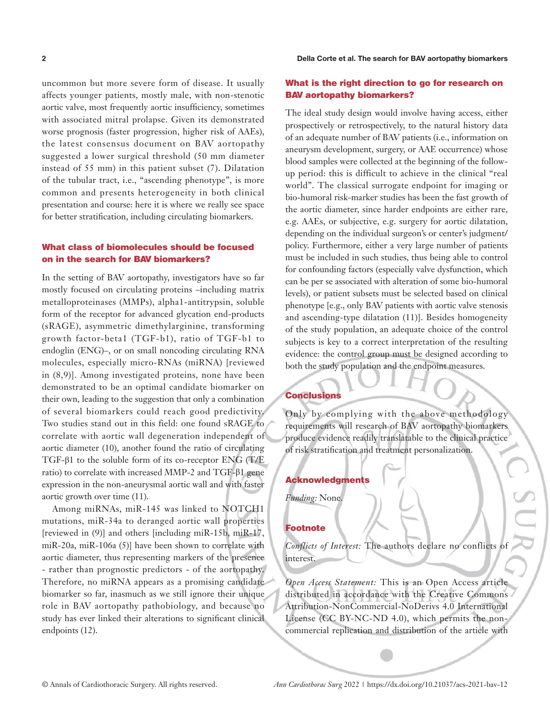uncommon but more severe form of disease. It usually affects younger patients, mostly male, with non-stenotic aortic valve, most frequently aortic insufficiency, sometimes with associated mitral prolapse. Given its demonstrated worse prognosis (faster progression, higher risk of AAEs), the latest consensus document on BAV aortopathy suggested a lower surgical threshold (50 mm diameter instead of 55 mm) in this patient subset (7). Dilatation of the tubular tract, i.e., "ascending phenotype", is more common and presents heterogeneity in both clinical presentation and course: here it is where we really see space for better stratification, including circulating biomarkers.

## What class of biomolecules should be focused on in the search for BAV biomarkers?

In the setting of BAV aortopathy, investigators have so far mostly focused on circulating proteins –including matrix metalloproteinases (MMPs), alpha1-antitrypsin, soluble form of the receptor for advanced glycation end-products (sRAGE), asymmetric dimethylarginine, transforming growth factor-beta1 (TGF-b1), ratio of TGF-b1 to endoglin (ENG)–, or on small noncoding circulating RNA molecules, especially micro-RNAs (miRNA) [reviewed in (8,9)]. Among investigated proteins, none have been demonstrated to be an optimal candidate biomarker on their own, leading to the suggestion that only a combination of several biomarkers could reach good predictivity. Two studies stand out in this field: one found sRAGE to correlate with aortic wall degeneration independent of aortic diameter (10), another found the ratio of circulating TGF-β1 to the soluble form of its co-receptor ENG (T/E ratio) to correlate with increased MMP-2 and TGF-β1 gene expression in the non-aneurysmal aortic wall and with faster aortic growth over time (11).

Among miRNAs, miR-145 was linked to NOTCH1 mutations, miR-34a to deranged aortic wall properties [reviewed in (9)] and others [including miR-15b, miR-17, miR-20a, miR-106a (5)] have been shown to correlate with aortic diameter, thus representing markers of the presence - rather than prognostic predictors - of the aortopathy. Therefore, no miRNA appears as a promising candidate biomarker so far, inasmuch as we still ignore their unique role in BAV aortopathy pathobiology, and because no study has ever linked their alterations to significant clinical endpoints (12).

## What is the right direction to go for research on BAV aortopathy biomarkers?

The ideal study design would involve having access, either prospectively or retrospectively, to the natural history data of an adequate number of BAV patients (i.e., information on aneurysm development, surgery, or AAE occurrence) whose blood samples were collected at the beginning of the followup period: this is difficult to achieve in the clinical "real world". The classical surrogate endpoint for imaging or bio-humoral risk-marker studies has been the fast growth of the aortic diameter, since harder endpoints are either rare, e.g. AAEs, or subjective, e.g. surgery for aortic dilatation, depending on the individual surgeon's or center's judgment/ policy. Furthermore, either a very large number of patients must be included in such studies, thus being able to control for confounding factors (especially valve dysfunction, which can be per se associated with alteration of some bio-humoral levels), or patient subsets must be selected based on clinical phenotype [e.g., only BAV patients with aortic valve stenosis and ascending-type dilatation (11)]. Besides homogeneity of the study population, an adequate choice of the control subjects is key to a correct interpretation of the resulting evidence: the control group must be designed according to both the study population and the endpoint measures.

#### **Conclusions**

Only by complying with the above methodology requirements will research of BAV aortopathy biomarkers produce evidence readily translatable to the clinical practice of risk stratification and treatment personalization.

## Acknowledgments

*Funding:* None.

#### Footnote

*Conflicts of Interest:* The authors declare no conflicts of interest.

*Open Access Statement:* This is an Open Access article distributed in accordance with the Creative Commons Attribution-NonCommercial-NoDerivs 4.0 International License (CC BY-NC-ND 4.0), which permits the noncommercial replication and distribution of the article with